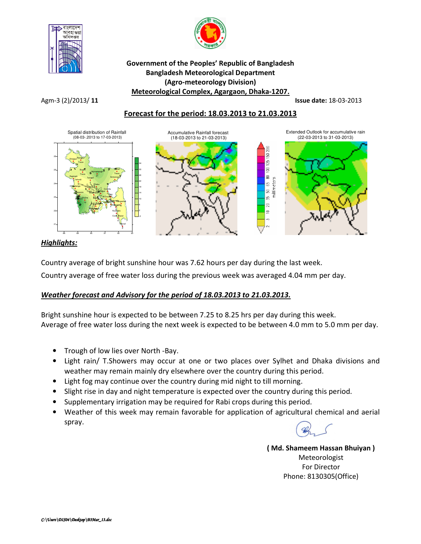



### Government of the Peoples' Republic of Bangladesh Bangladesh Meteorological Department (Agro-meteorology Division) Meteorological Complex, Agargaon, Dhaka-1207.

Agm-3 (2)/2013/ 11 **Issue date:** 18-03-2013

# Forecast for the period: 18.03.2013 to 21.03.2013



## Highlights:

Country average of bright sunshine hour was 7.62 hours per day during the last week.

Country average of free water loss during the previous week was averaged 4.04 mm per day.

## Weather forecast and Advisory for the period of 18.03.2013 to 21.03.2013.

Bright sunshine hour is expected to be between 7.25 to 8.25 hrs per day during this week. Average of free water loss during the next week is expected to be between 4.0 mm to 5.0 mm per day.

- Trough of low lies over North -Bay.
- Light rain/ T.Showers may occur at one or two places over Sylhet and Dhaka divisions and weather may remain mainly dry elsewhere over the country during this period.
- Light fog may continue over the country during mid night to till morning.
- Slight rise in day and night temperature is expected over the country during this period.
- Supplementary irrigation may be required for Rabi crops during this period.
- Weather of this week may remain favorable for application of agricultural chemical and aerial spray.

( Md. Shameem Hassan Bhuiyan ) Meteorologist For Director Phone: 8130305(Office)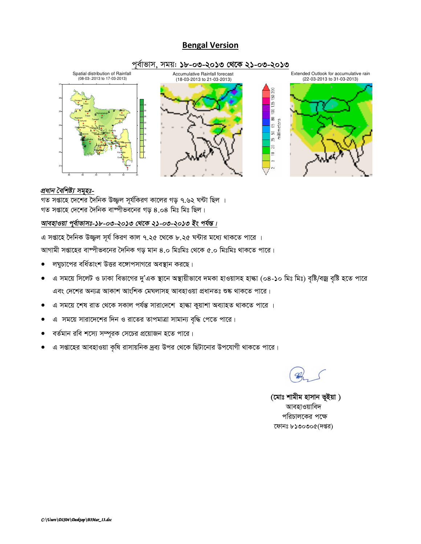#### **Bengal Version**



#### প্ৰধান বৈশিষ্ট্য সমূহঃ-

গত সপ্তাহে দেশের দৈনিক উজ্জ্বল সূর্যকিরণ কালের গড় ৭.৬২ ঘন্টা ছিল । গত সপ্তাহে দেশের দৈনিক বাষ্পীভবনের গড় ৪.০৪ মিঃ মিঃ ছিল।

## আবহাওয়া পুর্বাভাসঃ-১৮-০৩-২০১৩ থেকে ২১-০৩-২০১৩ ইং পর্যন্ত।

এ সপ্তাহে দৈনিক উজ্জুল সূর্য কিরণ কাল ৭.২৫ থেকে ৮.২৫ ঘন্টার মধ্যে থাকতে পারে । আগামী সপ্তাহের বাষ্পীভবনের দৈনিক গড় মান ৪.০ মিঃমিঃ থেকে ৫.০ মিঃমিঃ থাকতে পারে।

- লঘুচাপের বর্ধিতাংশ উত্তর বঙ্গোপসাগরে অবস্থান করছে।
- এ সময়ে সিলেট ও ঢাকা বিভাগের দু'এক স্থানে অস্থায়ীভাবে দমকা হাওয়াসহ হাল্কা (০৪-১০ মিঃ মিঃ) বৃষ্টি/বজ্র বৃষ্টি হতে পারে  $\bullet$ এবং দেশের অন্যত্র আকাশ আংশিক মেঘলাসহ আবহাওয়া প্রধানতঃ শুষ্ক থাকতে পারে।
- এ সময়ে শেষ রাত থেকে সকাল পর্যন্ত সারাদেশে হাঙ্কা কুয়াশা অব্যাহত থাকতে পারে ।
- এ সময়ে সারাদেশের দিন ও রাতের তাপমাত্রা সামান্য বৃদ্ধি পেতে পারে।
- বর্তমান রবি শস্যে সম্পূরক সেচের প্রয়োজন হতে পারে।
- এ সপ্তাহের আবহাওয়া কৃষি রাসায়নিক দ্রব্য উপর থেকে ছিটানোর উপযোগী থাকতে পারে।

(মোঃ শামীম হাসান ভূইয়া) আবহাওয়াবিদ পরিচালকের পক্ষে ফোনঃ ৮১৩০৩০৫(দপ্তর)